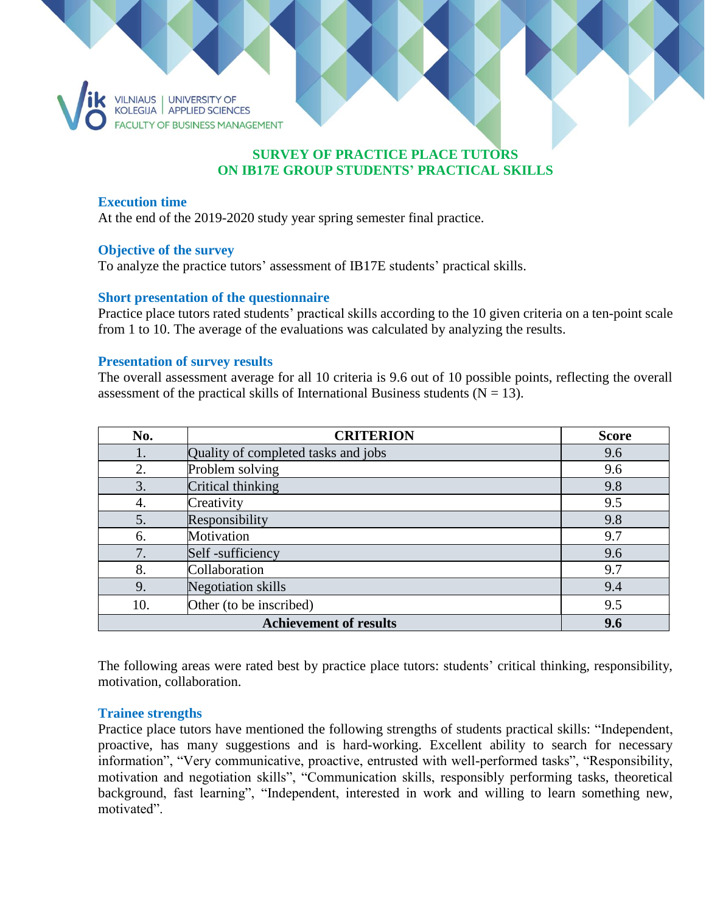

# **SURVEY OF PRACTICE PLACE TUTORS ON IB17E GROUP STUDENTS' PRACTICAL SKILLS**

### **Execution time**

At the end of the 2019-2020 study year spring semester final practice.

### **Objective of the survey**

To analyze the practice tutors' assessment of IB17E students' practical skills.

### **Short presentation of the questionnaire**

Practice place tutors rated students' practical skills according to the 10 given criteria on a ten-point scale from 1 to 10. The average of the evaluations was calculated by analyzing the results.

### **Presentation of survey results**

The overall assessment average for all 10 criteria is 9.6 out of 10 possible points, reflecting the overall assessment of the practical skills of International Business students ( $N = 13$ ).

| No.                           | <b>CRITERION</b>                    | <b>Score</b> |
|-------------------------------|-------------------------------------|--------------|
| 1.                            | Quality of completed tasks and jobs | 9.6          |
| 2.                            | Problem solving                     | 9.6          |
| 3.                            | Critical thinking                   | 9.8          |
| 4.                            | Creativity                          | 9.5          |
| 5.                            | Responsibility                      | 9.8          |
| 6.                            | Motivation                          | 9.7          |
| 7.                            | Self-sufficiency                    | 9.6          |
| 8.                            | Collaboration                       | 9.7          |
| 9.                            | <b>Negotiation</b> skills           | 9.4          |
| 10.                           | Other (to be inscribed)             | 9.5          |
| <b>Achievement of results</b> |                                     | 9.6          |

The following areas were rated best by practice place tutors: students' critical thinking, responsibility, motivation, collaboration.

### **Trainee strengths**

Practice place tutors have mentioned the following strengths of students practical skills: "Independent, proactive, has many suggestions and is hard-working. Excellent ability to search for necessary information", "Very communicative, proactive, entrusted with well-performed tasks", "Responsibility, motivation and negotiation skills", "Communication skills, responsibly performing tasks, theoretical background, fast learning", "Independent, interested in work and willing to learn something new, motivated".